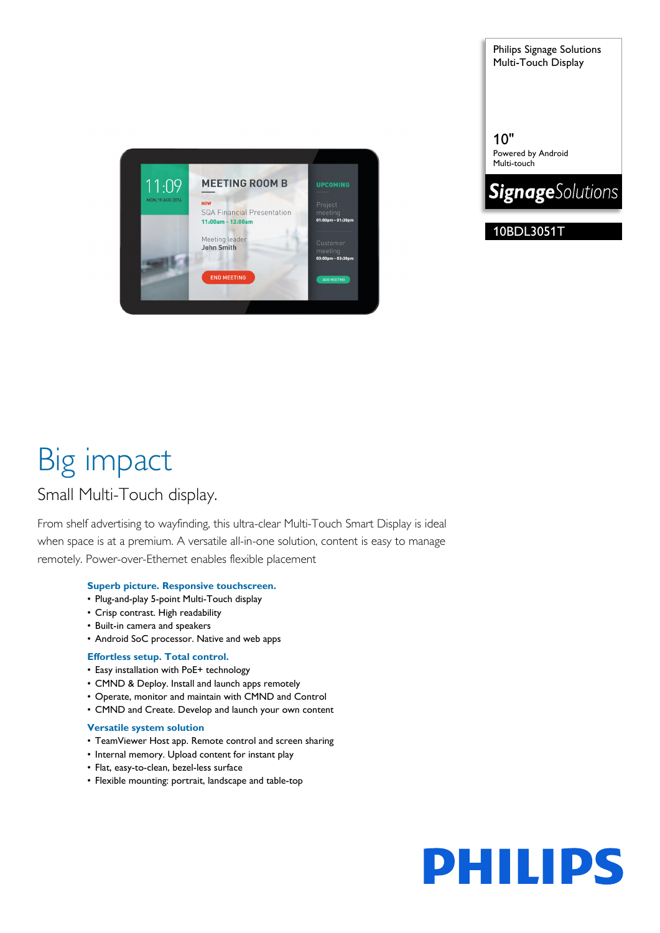

Philips Signage Solutions Multi-Touch Display

10" Powered by Android Multi-touch



10BDL3051T

# Big impact

### Small Multi-Touch display.

From shelf advertising to wayfinding, this ultra-clear Multi-Touch Smart Display is ideal when space is at a premium. A versatile all-in-one solution, content is easy to manage remotely. Power-over-Ethernet enables flexible placement

#### **Superb picture. Responsive touchscreen.**

- Plug-and-play 5-point Multi-Touch display
- Crisp contrast. High readability
- Built-in camera and speakers
- Android SoC processor. Native and web apps

#### **Effortless setup. Total control.**

- Easy installation with PoE+ technology
- CMND & Deploy. Install and launch apps remotely
- Operate, monitor and maintain with CMND and Control
- CMND and Create. Develop and launch your own content

#### **Versatile system solution**

- TeamViewer Host app. Remote control and screen sharing
- Internal memory. Upload content for instant play
- Flat, easy-to-clean, bezel-less surface
- Flexible mounting: portrait, landscape and table-top